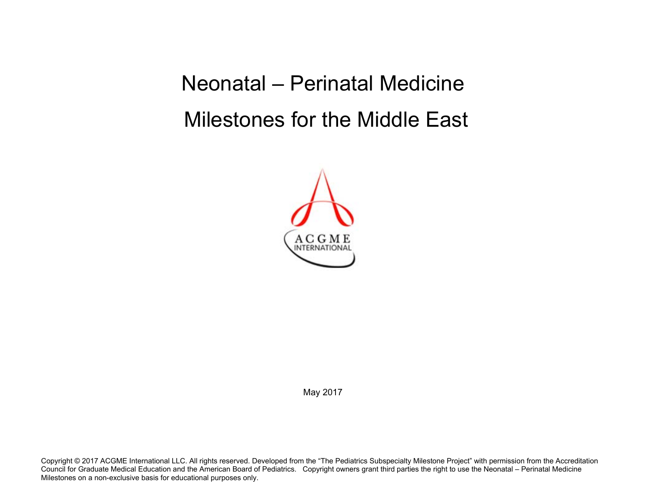Neonatal – Perinatal Medicine Milestones for the Middle East



May 2017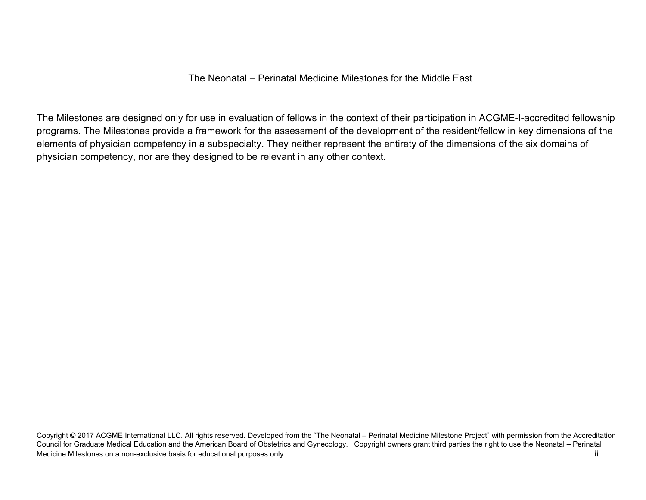## The Neonatal – Perinatal Medicine Milestones for the Middle East

The Milestones are designed only for use in evaluation of fellows in the context of their participation in ACGME-I-accredited fellowship programs. The Milestones provide a framework for the assessment of the development of the resident/fellow in key dimensions of the elements of physician competency in a subspecialty. They neither represent the entirety of the dimensions of the six domains of physician competency, nor are they designed to be relevant in any other context.

Copyright © 2017 ACGME International LLC. All rights reserved. Developed from the "The Neonatal – Perinatal Medicine Milestone Project" with permission from the Accreditation Council for Graduate Medical Education and the American Board of Obstetrics and Gynecology. Copyright owners grant third parties the right to use the Neonatal – Perinatal Medicine Milestones on a non-exclusive basis for educational purposes only. The state of the state of the state of the state of the state of the state of the state of the state of the state of the state of the state of the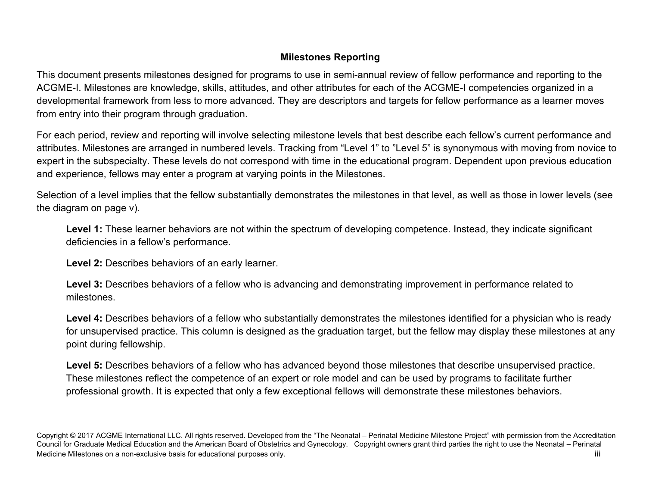## **Milestones Reporting**

This document presents milestones designed for programs to use in semi-annual review of fellow performance and reporting to the ACGME-I. Milestones are knowledge, skills, attitudes, and other attributes for each of the ACGME-I competencies organized in a developmental framework from less to more advanced. They are descriptors and targets for fellow performance as a learner moves from entry into their program through graduation.

For each period, review and reporting will involve selecting milestone levels that best describe each fellow's current performance and attributes. Milestones are arranged in numbered levels. Tracking from "Level 1" to "Level 5" is synonymous with moving from novice to expert in the subspecialty. These levels do not correspond with time in the educational program. Dependent upon previous education and experience, fellows may enter a program at varying points in the Milestones.

Selection of a level implies that the fellow substantially demonstrates the milestones in that level, as well as those in lower levels (see the diagram on page v).

Level 1: These learner behaviors are not within the spectrum of developing competence. Instead, they indicate significant deficiencies in a fellow's performance.

 **Level 2:** Describes behaviors of an early learner.

**Level 3:** Describes behaviors of a fellow who is advancing and demonstrating improvement in performance related to milestones.

Level 4: Describes behaviors of a fellow who substantially demonstrates the milestones identified for a physician who is ready for unsupervised practice. This column is designed as the graduation target, but the fellow may display these milestones at any point during fellowship.

**Level 5:** Describes behaviors of a fellow who has advanced beyond those milestones that describe unsupervised practice. These milestones reflect the competence of an expert or role model and can be used by programs to facilitate further professional growth. It is expected that only a few exceptional fellows will demonstrate these milestones behaviors.

Copyright © 2017 ACGME International LLC. All rights reserved. Developed from the "The Neonatal – Perinatal Medicine Milestone Project" with permission from the Accreditation Council for Graduate Medical Education and the American Board of Obstetrics and Gynecology. Copyright owners grant third parties the right to use the Neonatal – Perinatal Medicine Milestones on a non-exclusive basis for educational purposes only. Notice that the extra that the extra the extra the extra the extra the extra the extra the extra the extra the extra the extra the extra the extra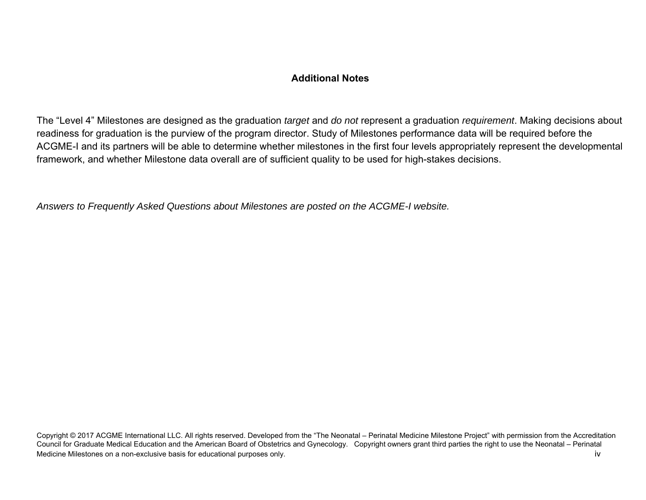## **Additional Notes**

The "Level 4" Milestones are designed as the graduation *target* and *do not* represent a graduation *requirement*. Making decisions about readiness for graduation is the purview of the program director. Study of Milestones performance data will be required before the ACGME-I and its partners will be able to determine whether milestones in the first four levels appropriately represent the developmental framework, and whether Milestone data overall are of sufficient quality to be used for high-stakes decisions.

*Answers to Frequently Asked Questions about Milestones are posted on the ACGME-I website.* 

Copyright © 2017 ACGME International LLC. All rights reserved. Developed from the "The Neonatal – Perinatal Medicine Milestone Project" with permission from the Accreditation Council for Graduate Medical Education and the American Board of Obstetrics and Gynecology. Copyright owners grant third parties the right to use the Neonatal – Perinatal Medicine Milestones on a non-exclusive basis for educational purposes only. The state of the state of the state of the state of the state of the state of the state of the state of the state of the state of the state of the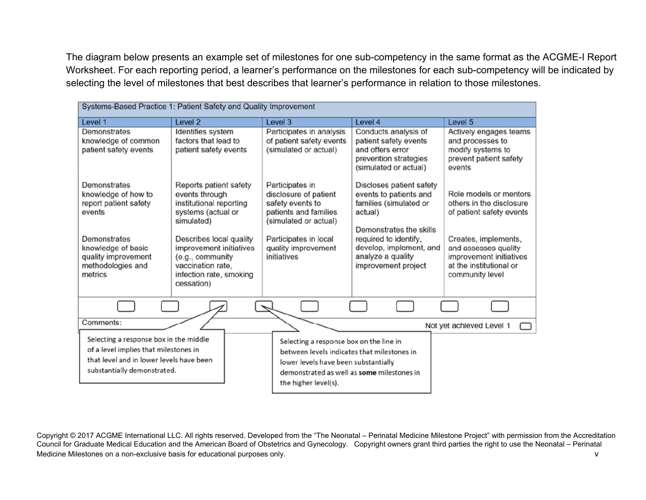The diagram below presents an example set of milestones for one sub-competency in the same format as the ACGME-I Report Worksheet. For each reporting period, a learner's performance on the milestones for each sub-competency will be indicated by selecting the level of milestones that best describes that learner's performance in relation to those milestones.

| Systems-Based Practice 1: Patient Safety and Quality Improvement                                                                                                    |                                                                                                                                                                                                                                                 |                                                                                                                                                                                                      |                                                                                                                                                                                                                    |                                                                                                                                                                                                         |
|---------------------------------------------------------------------------------------------------------------------------------------------------------------------|-------------------------------------------------------------------------------------------------------------------------------------------------------------------------------------------------------------------------------------------------|------------------------------------------------------------------------------------------------------------------------------------------------------------------------------------------------------|--------------------------------------------------------------------------------------------------------------------------------------------------------------------------------------------------------------------|---------------------------------------------------------------------------------------------------------------------------------------------------------------------------------------------------------|
| Level 1                                                                                                                                                             | Level <sub>2</sub>                                                                                                                                                                                                                              | Level 3                                                                                                                                                                                              | Level 4                                                                                                                                                                                                            | Level <sub>5</sub>                                                                                                                                                                                      |
| Demonstrates<br>knowledge of common<br>patient safety events                                                                                                        | Identifies system<br>factors that lead to<br>patient safety events                                                                                                                                                                              | Participates in analysis<br>of patient safety events<br>(simulated or actual)                                                                                                                        | Conducts analysis of<br>patient safety events<br>and offers error<br>prevention strategies<br>(simulated or actual)                                                                                                | Actively engages teams<br>and processes to<br>modify systems to<br>prevent patient safety<br>events                                                                                                     |
| Demonstrates<br>knowledge of how to<br>report patient safety<br>events<br>Demonstrates<br>knowledge of basic<br>quality improvement<br>methodologies and<br>metrics | Reports patient safety<br>events through<br>institutional reporting<br>systems (actual or<br>simulated)<br>Describes local quality<br>improvement initiatives<br>(e.g., community<br>vaccination rate,<br>infection rate, smoking<br>cessation) | Participates in<br>disclosure of patient<br>safety events to<br>patients and families<br>(simulated or actual)<br>Participates in local<br>quality improvement<br>initiatives                        | Discloses patient safety<br>events to patients and<br>families (simulated or<br>actual)<br>Demonstrates the skills<br>required to identify,<br>develop, implement, and<br>analyze a quality<br>improvement project | Role models or mentors<br>others in the disclosure<br>of patient safety events<br>Creates, implements,<br>and assesses quality<br>improvement initiatives<br>at the institutional or<br>community level |
|                                                                                                                                                                     |                                                                                                                                                                                                                                                 |                                                                                                                                                                                                      |                                                                                                                                                                                                                    |                                                                                                                                                                                                         |
| Comments:                                                                                                                                                           |                                                                                                                                                                                                                                                 |                                                                                                                                                                                                      |                                                                                                                                                                                                                    | Not yet achieved Level 1                                                                                                                                                                                |
| Selecting a response box in the middle<br>of a level implies that milestones in<br>that level and in lower levels have been<br>substantially demonstrated.          |                                                                                                                                                                                                                                                 | Selecting a response box on the line in<br>between levels indicates that milestones in<br>lower levels have been substantially<br>demonstrated as well as some milestones in<br>the higher level(s). |                                                                                                                                                                                                                    |                                                                                                                                                                                                         |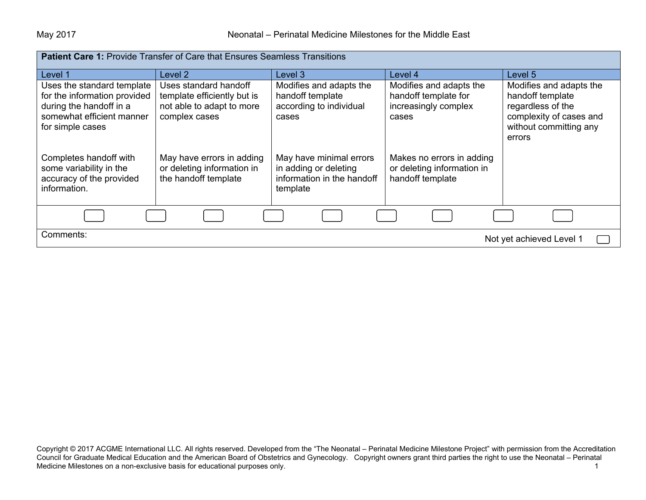| <b>Patient Care 1: Provide Transfer of Care that Ensures Seamless Transitions</b>                                                      |                                                                                                    |                                                                                            |                                                                                  |                                                                                                                                 |
|----------------------------------------------------------------------------------------------------------------------------------------|----------------------------------------------------------------------------------------------------|--------------------------------------------------------------------------------------------|----------------------------------------------------------------------------------|---------------------------------------------------------------------------------------------------------------------------------|
| Level 1                                                                                                                                | Level 2                                                                                            | Level 3                                                                                    | Level 4                                                                          | Level 5                                                                                                                         |
| Uses the standard template<br>for the information provided<br>during the handoff in a<br>somewhat efficient manner<br>for simple cases | Uses standard handoff<br>template efficiently but is<br>not able to adapt to more<br>complex cases | Modifies and adapts the<br>handoff template<br>according to individual<br>cases            | Modifies and adapts the<br>handoff template for<br>increasingly complex<br>cases | Modifies and adapts the<br>handoff template<br>regardless of the<br>complexity of cases and<br>without committing any<br>errors |
| Completes handoff with<br>some variability in the<br>accuracy of the provided<br>information.                                          | May have errors in adding<br>or deleting information in<br>the handoff template                    | May have minimal errors<br>in adding or deleting<br>information in the handoff<br>template | Makes no errors in adding<br>or deleting information in<br>handoff template      |                                                                                                                                 |
|                                                                                                                                        |                                                                                                    |                                                                                            |                                                                                  |                                                                                                                                 |
| Comments:<br>Not yet achieved Level 1                                                                                                  |                                                                                                    |                                                                                            |                                                                                  |                                                                                                                                 |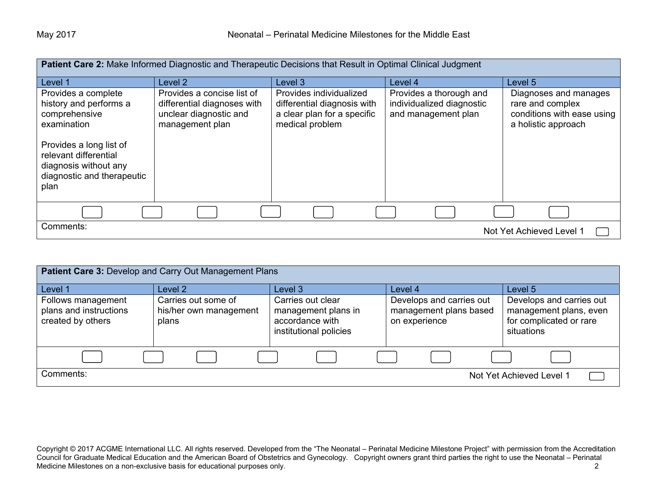| Patient Care 2: Make Informed Diagnostic and Therapeutic Decisions that Result in Optimal Clinical Judgment     |                                                                                                        |                                                                                                          |                                                                             |                                                                                                |
|-----------------------------------------------------------------------------------------------------------------|--------------------------------------------------------------------------------------------------------|----------------------------------------------------------------------------------------------------------|-----------------------------------------------------------------------------|------------------------------------------------------------------------------------------------|
| Level 1                                                                                                         | Level <sub>2</sub>                                                                                     | Level 3                                                                                                  | Level 4                                                                     | Level 5                                                                                        |
| Provides a complete<br>history and performs a<br>comprehensive<br>examination                                   | Provides a concise list of<br>differential diagnoses with<br>unclear diagnostic and<br>management plan | Provides individualized<br>differential diagnosis with<br>a clear plan for a specific<br>medical problem | Provides a thorough and<br>individualized diagnostic<br>and management plan | Diagnoses and manages<br>rare and complex<br>conditions with ease using<br>a holistic approach |
| Provides a long list of<br>relevant differential<br>diagnosis without any<br>diagnostic and therapeutic<br>plan |                                                                                                        |                                                                                                          |                                                                             |                                                                                                |
|                                                                                                                 |                                                                                                        |                                                                                                          |                                                                             |                                                                                                |
| Comments:<br>Not Yet Achieved Level 1                                                                           |                                                                                                        |                                                                                                          |                                                                             |                                                                                                |

| Patient Care 3: Develop and Carry Out Management Plans            |                                                        |                                                                                       |                                                                     |                                                                                             |
|-------------------------------------------------------------------|--------------------------------------------------------|---------------------------------------------------------------------------------------|---------------------------------------------------------------------|---------------------------------------------------------------------------------------------|
| Level 1                                                           | Level 2                                                | Level 3                                                                               | Level 4                                                             | Level 5                                                                                     |
| Follows management<br>plans and instructions<br>created by others | Carries out some of<br>his/her own management<br>plans | Carries out clear<br>management plans in<br>accordance with<br>institutional policies | Develops and carries out<br>management plans based<br>on experience | Develops and carries out<br>management plans, even<br>for complicated or rare<br>situations |
|                                                                   |                                                        |                                                                                       |                                                                     |                                                                                             |
| Comments:                                                         |                                                        |                                                                                       |                                                                     | Not Yet Achieved Level 1                                                                    |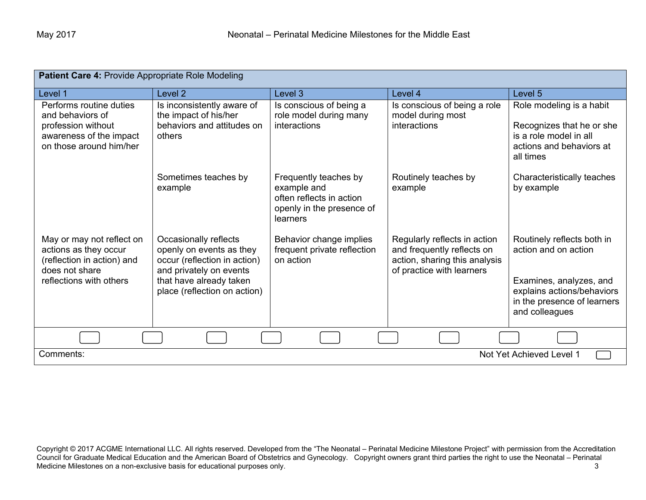| Patient Care 4: Provide Appropriate Role Modeling                                                                             |                                                                                                                                                                         |                                                                                                           |                                                                                                                          |                                                                                                                                                              |
|-------------------------------------------------------------------------------------------------------------------------------|-------------------------------------------------------------------------------------------------------------------------------------------------------------------------|-----------------------------------------------------------------------------------------------------------|--------------------------------------------------------------------------------------------------------------------------|--------------------------------------------------------------------------------------------------------------------------------------------------------------|
| Level 1                                                                                                                       | Level <sub>2</sub>                                                                                                                                                      | Level 3                                                                                                   | Level 4                                                                                                                  | Level <sub>5</sub>                                                                                                                                           |
| Performs routine duties<br>and behaviors of<br>profession without<br>awareness of the impact<br>on those around him/her       | Is inconsistently aware of<br>the impact of his/her<br>behaviors and attitudes on<br>others                                                                             | Is conscious of being a<br>role model during many<br>interactions                                         | Is conscious of being a role<br>model during most<br>interactions                                                        | Role modeling is a habit<br>Recognizes that he or she<br>is a role model in all<br>actions and behaviors at<br>all times                                     |
|                                                                                                                               | Sometimes teaches by<br>example                                                                                                                                         | Frequently teaches by<br>example and<br>often reflects in action<br>openly in the presence of<br>learners | Routinely teaches by<br>example                                                                                          | Characteristically teaches<br>by example                                                                                                                     |
| May or may not reflect on<br>actions as they occur<br>(reflection in action) and<br>does not share<br>reflections with others | Occasionally reflects<br>openly on events as they<br>occur (reflection in action)<br>and privately on events<br>that have already taken<br>place (reflection on action) | Behavior change implies<br>frequent private reflection<br>on action                                       | Regularly reflects in action<br>and frequently reflects on<br>action, sharing this analysis<br>of practice with learners | Routinely reflects both in<br>action and on action<br>Examines, analyzes, and<br>explains actions/behaviors<br>in the presence of learners<br>and colleagues |
|                                                                                                                               |                                                                                                                                                                         |                                                                                                           |                                                                                                                          |                                                                                                                                                              |
| Comments:                                                                                                                     |                                                                                                                                                                         |                                                                                                           |                                                                                                                          | Not Yet Achieved Level 1                                                                                                                                     |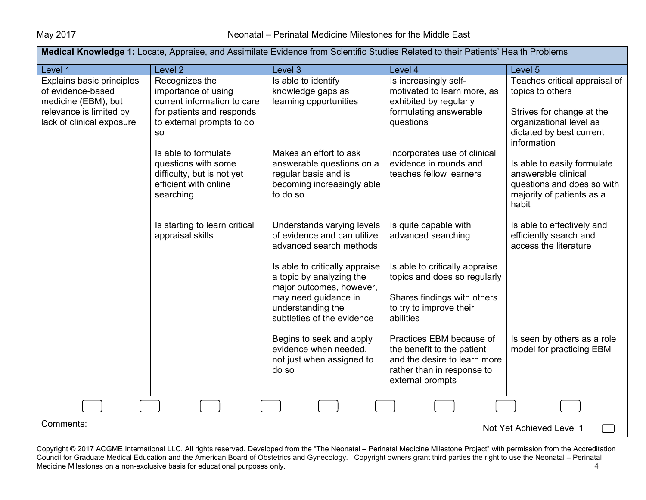| Medical Knowledge 1: Locate, Appraise, and Assimilate Evidence from Scientific Studies Related to their Patients' Health Problems |                                                                                                                                             |                                                                                                                                                                                               |                                                                                                                                                                   |                                                                                                                                                      |
|-----------------------------------------------------------------------------------------------------------------------------------|---------------------------------------------------------------------------------------------------------------------------------------------|-----------------------------------------------------------------------------------------------------------------------------------------------------------------------------------------------|-------------------------------------------------------------------------------------------------------------------------------------------------------------------|------------------------------------------------------------------------------------------------------------------------------------------------------|
| Level 1                                                                                                                           | Level <sub>2</sub>                                                                                                                          | Level 3                                                                                                                                                                                       | Level 4                                                                                                                                                           | Level 5                                                                                                                                              |
| Explains basic principles<br>of evidence-based<br>medicine (EBM), but<br>relevance is limited by<br>lack of clinical exposure     | Recognizes the<br>importance of using<br>current information to care<br>for patients and responds<br>to external prompts to do<br><b>SO</b> | Is able to identify<br>knowledge gaps as<br>learning opportunities                                                                                                                            | Is increasingly self-<br>motivated to learn more, as<br>exhibited by regularly<br>formulating answerable<br>questions                                             | Teaches critical appraisal of<br>topics to others<br>Strives for change at the<br>organizational level as<br>dictated by best current<br>information |
|                                                                                                                                   | Is able to formulate<br>questions with some<br>difficulty, but is not yet<br>efficient with online<br>searching                             | Makes an effort to ask<br>answerable questions on a<br>regular basis and is<br>becoming increasingly able<br>to do so                                                                         | Incorporates use of clinical<br>evidence in rounds and<br>teaches fellow learners                                                                                 | Is able to easily formulate<br>answerable clinical<br>questions and does so with<br>majority of patients as a<br>habit                               |
|                                                                                                                                   | Is starting to learn critical<br>appraisal skills                                                                                           | Understands varying levels<br>of evidence and can utilize<br>advanced search methods                                                                                                          | Is quite capable with<br>advanced searching                                                                                                                       | Is able to effectively and<br>efficiently search and<br>access the literature                                                                        |
|                                                                                                                                   |                                                                                                                                             | Is able to critically appraise<br>a topic by analyzing the<br>major outcomes, however,<br>may need guidance in<br>understanding the<br>subtleties of the evidence<br>Begins to seek and apply | Is able to critically appraise<br>topics and does so regularly<br>Shares findings with others<br>to try to improve their<br>abilities<br>Practices EBM because of | Is seen by others as a role                                                                                                                          |
|                                                                                                                                   |                                                                                                                                             | evidence when needed,<br>not just when assigned to<br>do so                                                                                                                                   | the benefit to the patient<br>and the desire to learn more<br>rather than in response to<br>external prompts                                                      | model for practicing EBM                                                                                                                             |
|                                                                                                                                   |                                                                                                                                             |                                                                                                                                                                                               |                                                                                                                                                                   |                                                                                                                                                      |
| Comments:<br>Not Yet Achieved Level 1                                                                                             |                                                                                                                                             |                                                                                                                                                                                               |                                                                                                                                                                   |                                                                                                                                                      |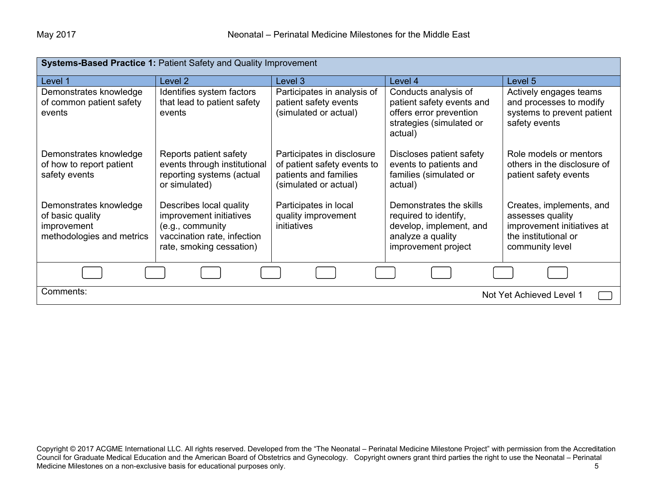| Systems-Based Practice 1: Patient Safety and Quality Improvement                       |                                                                                                                                   |                                                                                                             |                                                                                                                         |                                                                                                                       |
|----------------------------------------------------------------------------------------|-----------------------------------------------------------------------------------------------------------------------------------|-------------------------------------------------------------------------------------------------------------|-------------------------------------------------------------------------------------------------------------------------|-----------------------------------------------------------------------------------------------------------------------|
| Level 1                                                                                | Level <sub>2</sub>                                                                                                                | Level 3                                                                                                     | Level 4                                                                                                                 | Level 5                                                                                                               |
| Demonstrates knowledge<br>of common patient safety<br>events                           | Identifies system factors<br>that lead to patient safety<br>events                                                                | Participates in analysis of<br>patient safety events<br>(simulated or actual)                               | Conducts analysis of<br>patient safety events and<br>offers error prevention<br>strategies (simulated or<br>actual)     | Actively engages teams<br>and processes to modify<br>systems to prevent patient<br>safety events                      |
| Demonstrates knowledge<br>of how to report patient<br>safety events                    | Reports patient safety<br>events through institutional<br>reporting systems (actual<br>or simulated)                              | Participates in disclosure<br>of patient safety events to<br>patients and families<br>(simulated or actual) | Discloses patient safety<br>events to patients and<br>families (simulated or<br>actual)                                 | Role models or mentors<br>others in the disclosure of<br>patient safety events                                        |
| Demonstrates knowledge<br>of basic quality<br>improvement<br>methodologies and metrics | Describes local quality<br>improvement initiatives<br>(e.g., community<br>vaccination rate, infection<br>rate, smoking cessation) | Participates in local<br>quality improvement<br>initiatives                                                 | Demonstrates the skills<br>required to identify,<br>develop, implement, and<br>analyze a quality<br>improvement project | Creates, implements, and<br>assesses quality<br>improvement initiatives at<br>the institutional or<br>community level |
|                                                                                        |                                                                                                                                   |                                                                                                             |                                                                                                                         |                                                                                                                       |
| Comments:                                                                              |                                                                                                                                   |                                                                                                             |                                                                                                                         | Not Yet Achieved Level 1                                                                                              |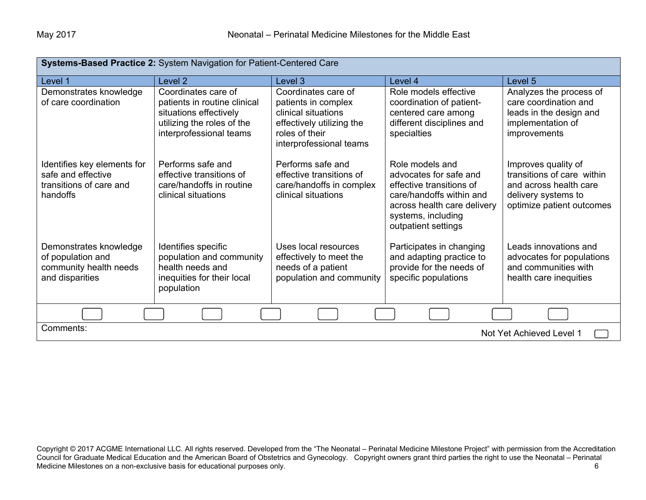| Systems-Based Practice 2: System Navigation for Patient-Centered Care                    |                                                                                                                                        |                                                                                                                                             |                                                                                                                                                                               |                                                                                                                                 |
|------------------------------------------------------------------------------------------|----------------------------------------------------------------------------------------------------------------------------------------|---------------------------------------------------------------------------------------------------------------------------------------------|-------------------------------------------------------------------------------------------------------------------------------------------------------------------------------|---------------------------------------------------------------------------------------------------------------------------------|
| Level 1                                                                                  | Level 2                                                                                                                                | Level 3                                                                                                                                     | Level 4                                                                                                                                                                       | Level 5                                                                                                                         |
| Demonstrates knowledge<br>of care coordination                                           | Coordinates care of<br>patients in routine clinical<br>situations effectively<br>utilizing the roles of the<br>interprofessional teams | Coordinates care of<br>patients in complex<br>clinical situations<br>effectively utilizing the<br>roles of their<br>interprofessional teams | Role models effective<br>coordination of patient-<br>centered care among<br>different disciplines and<br>specialties                                                          | Analyzes the process of<br>care coordination and<br>leads in the design and<br>implementation of<br>improvements                |
| Identifies key elements for<br>safe and effective<br>transitions of care and<br>handoffs | Performs safe and<br>effective transitions of<br>care/handoffs in routine<br>clinical situations                                       | Performs safe and<br>effective transitions of<br>care/handoffs in complex<br>clinical situations                                            | Role models and<br>advocates for safe and<br>effective transitions of<br>care/handoffs within and<br>across health care delivery<br>systems, including<br>outpatient settings | Improves quality of<br>transitions of care within<br>and across health care<br>delivery systems to<br>optimize patient outcomes |
| Demonstrates knowledge<br>of population and<br>community health needs<br>and disparities | Identifies specific<br>population and community<br>health needs and<br>inequities for their local<br>population                        | Uses local resources<br>effectively to meet the<br>needs of a patient<br>population and community                                           | Participates in changing<br>and adapting practice to<br>provide for the needs of<br>specific populations                                                                      | Leads innovations and<br>advocates for populations<br>and communities with<br>health care inequities                            |
|                                                                                          |                                                                                                                                        |                                                                                                                                             |                                                                                                                                                                               |                                                                                                                                 |
| Comments:<br>Not Yet Achieved Level 1                                                    |                                                                                                                                        |                                                                                                                                             |                                                                                                                                                                               |                                                                                                                                 |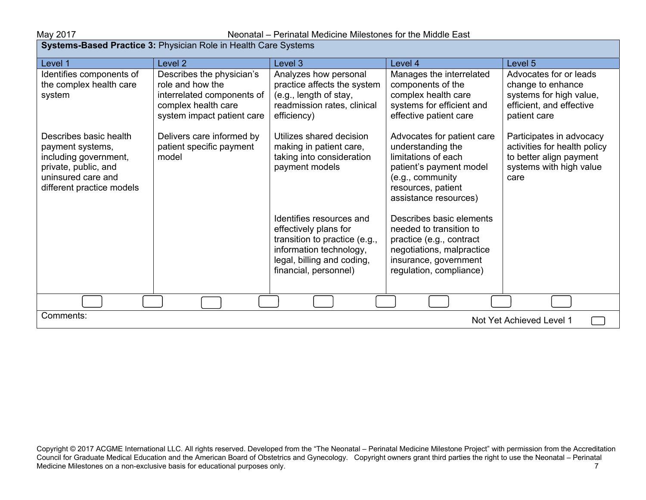| <b>Systems-Based Practice 3: Physician Role in Health Care Systems</b>                                                                         |                                                                                                                                  |                                                                                                                                                                      |                                                                                                                                                                      |                                                                                                                        |  |
|------------------------------------------------------------------------------------------------------------------------------------------------|----------------------------------------------------------------------------------------------------------------------------------|----------------------------------------------------------------------------------------------------------------------------------------------------------------------|----------------------------------------------------------------------------------------------------------------------------------------------------------------------|------------------------------------------------------------------------------------------------------------------------|--|
| Level 1                                                                                                                                        | Level <sub>2</sub>                                                                                                               | Level 3                                                                                                                                                              | Level 4                                                                                                                                                              | Level 5                                                                                                                |  |
| Identifies components of<br>the complex health care<br>system                                                                                  | Describes the physician's<br>role and how the<br>interrelated components of<br>complex health care<br>system impact patient care | Analyzes how personal<br>practice affects the system<br>(e.g., length of stay,<br>readmission rates, clinical<br>efficiency)                                         | Manages the interrelated<br>components of the<br>complex health care<br>systems for efficient and<br>effective patient care                                          | Advocates for or leads<br>change to enhance<br>systems for high value,<br>efficient, and effective<br>patient care     |  |
| Describes basic health<br>payment systems,<br>including government,<br>private, public, and<br>uninsured care and<br>different practice models | Delivers care informed by<br>patient specific payment<br>model                                                                   | Utilizes shared decision<br>making in patient care,<br>taking into consideration<br>payment models                                                                   | Advocates for patient care<br>understanding the<br>limitations of each<br>patient's payment model<br>(e.g., community<br>resources, patient<br>assistance resources) | Participates in advocacy<br>activities for health policy<br>to better align payment<br>systems with high value<br>care |  |
|                                                                                                                                                |                                                                                                                                  | Identifies resources and<br>effectively plans for<br>transition to practice (e.g.,<br>information technology,<br>legal, billing and coding,<br>financial, personnel) | Describes basic elements<br>needed to transition to<br>practice (e.g., contract<br>negotiations, malpractice<br>insurance, government<br>regulation, compliance)     |                                                                                                                        |  |
|                                                                                                                                                |                                                                                                                                  |                                                                                                                                                                      |                                                                                                                                                                      |                                                                                                                        |  |
| Comments:                                                                                                                                      | Not Yet Achieved Level 1                                                                                                         |                                                                                                                                                                      |                                                                                                                                                                      |                                                                                                                        |  |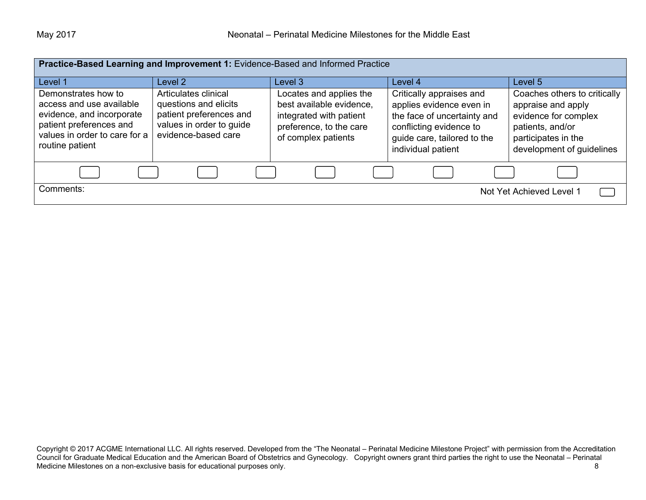| Practice-Based Learning and Improvement 1: Evidence-Based and Informed Practice                                                                             |                                                                                                                             |                                                                                                                                  |                                                                                                                                                                     |                                                                                                                                                    |
|-------------------------------------------------------------------------------------------------------------------------------------------------------------|-----------------------------------------------------------------------------------------------------------------------------|----------------------------------------------------------------------------------------------------------------------------------|---------------------------------------------------------------------------------------------------------------------------------------------------------------------|----------------------------------------------------------------------------------------------------------------------------------------------------|
| Level 1                                                                                                                                                     | Level 2                                                                                                                     | Level 3                                                                                                                          | Level 4                                                                                                                                                             | Level 5                                                                                                                                            |
| Demonstrates how to<br>access and use available<br>evidence, and incorporate<br>patient preferences and<br>values in order to care for a<br>routine patient | Articulates clinical<br>questions and elicits<br>patient preferences and<br>values in order to guide<br>evidence-based care | Locates and applies the<br>best available evidence,<br>integrated with patient<br>preference, to the care<br>of complex patients | Critically appraises and<br>applies evidence even in<br>the face of uncertainty and<br>conflicting evidence to<br>guide care, tailored to the<br>individual patient | Coaches others to critically<br>appraise and apply<br>evidence for complex<br>patients, and/or<br>participates in the<br>development of guidelines |
|                                                                                                                                                             |                                                                                                                             |                                                                                                                                  |                                                                                                                                                                     |                                                                                                                                                    |
| Comments:                                                                                                                                                   |                                                                                                                             |                                                                                                                                  |                                                                                                                                                                     | Not Yet Achieved Level 1                                                                                                                           |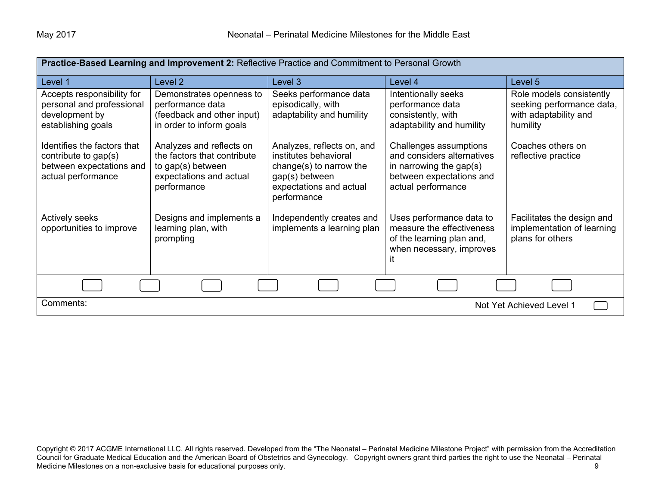| Practice-Based Learning and Improvement 2: Reflective Practice and Commitment to Personal Growth      |                                                                                                                        |                                                                                                                                            |                                                                                                                                      |                                                                                            |
|-------------------------------------------------------------------------------------------------------|------------------------------------------------------------------------------------------------------------------------|--------------------------------------------------------------------------------------------------------------------------------------------|--------------------------------------------------------------------------------------------------------------------------------------|--------------------------------------------------------------------------------------------|
| Level 1                                                                                               | Level 2                                                                                                                | Level 3                                                                                                                                    | Level 4                                                                                                                              | Level 5                                                                                    |
| Accepts responsibility for<br>personal and professional<br>development by<br>establishing goals       | Demonstrates openness to<br>performance data<br>(feedback and other input)<br>in order to inform goals                 | Seeks performance data<br>episodically, with<br>adaptability and humility                                                                  | Intentionally seeks<br>performance data<br>consistently, with<br>adaptability and humility                                           | Role models consistently<br>seeking performance data,<br>with adaptability and<br>humility |
| Identifies the factors that<br>contribute to gap(s)<br>between expectations and<br>actual performance | Analyzes and reflects on<br>the factors that contribute<br>to gap(s) between<br>expectations and actual<br>performance | Analyzes, reflects on, and<br>institutes behavioral<br>change(s) to narrow the<br>gap(s) between<br>expectations and actual<br>performance | Challenges assumptions<br>and considers alternatives<br>in narrowing the gap $(s)$<br>between expectations and<br>actual performance | Coaches others on<br>reflective practice                                                   |
| <b>Actively seeks</b><br>opportunities to improve                                                     | Designs and implements a<br>learning plan, with<br>prompting                                                           | Independently creates and<br>implements a learning plan                                                                                    | Uses performance data to<br>measure the effectiveness<br>of the learning plan and,<br>when necessary, improves<br>ıt                 | Facilitates the design and<br>implementation of learning<br>plans for others               |
|                                                                                                       |                                                                                                                        |                                                                                                                                            |                                                                                                                                      |                                                                                            |
| Comments:<br>Not Yet Achieved Level 1                                                                 |                                                                                                                        |                                                                                                                                            |                                                                                                                                      |                                                                                            |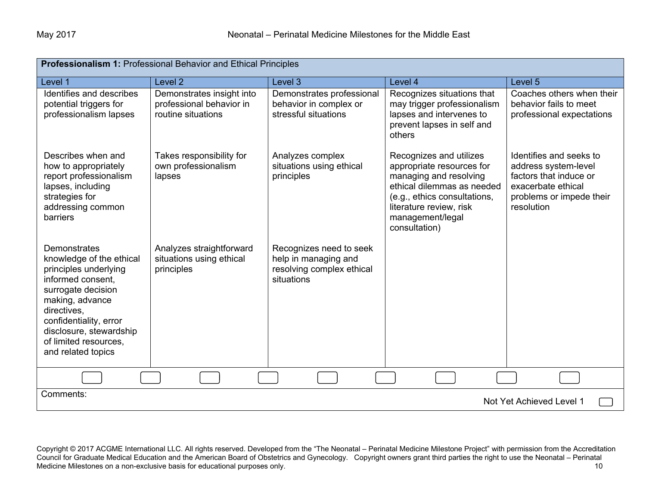| <b>Professionalism 1: Professional Behavior and Ethical Principles</b>                                                                                                                                                                             |                                                                             |                                                                                            |                                                                                                                                                                                                              |                                                                                                                                           |  |
|----------------------------------------------------------------------------------------------------------------------------------------------------------------------------------------------------------------------------------------------------|-----------------------------------------------------------------------------|--------------------------------------------------------------------------------------------|--------------------------------------------------------------------------------------------------------------------------------------------------------------------------------------------------------------|-------------------------------------------------------------------------------------------------------------------------------------------|--|
| Level 1                                                                                                                                                                                                                                            | Level 2                                                                     | Level 3                                                                                    | Level 4                                                                                                                                                                                                      | Level 5                                                                                                                                   |  |
| Identifies and describes<br>potential triggers for<br>professionalism lapses                                                                                                                                                                       | Demonstrates insight into<br>professional behavior in<br>routine situations | Demonstrates professional<br>behavior in complex or<br>stressful situations                | Recognizes situations that<br>may trigger professionalism<br>lapses and intervenes to<br>prevent lapses in self and<br>others                                                                                | Coaches others when their<br>behavior fails to meet<br>professional expectations                                                          |  |
| Describes when and<br>how to appropriately<br>report professionalism<br>lapses, including<br>strategies for<br>addressing common<br>barriers                                                                                                       | Takes responsibility for<br>own professionalism<br>lapses                   | Analyzes complex<br>situations using ethical<br>principles                                 | Recognizes and utilizes<br>appropriate resources for<br>managing and resolving<br>ethical dilemmas as needed<br>(e.g., ethics consultations,<br>literature review, risk<br>management/legal<br>consultation) | Identifies and seeks to<br>address system-level<br>factors that induce or<br>exacerbate ethical<br>problems or impede their<br>resolution |  |
| Demonstrates<br>knowledge of the ethical<br>principles underlying<br>informed consent,<br>surrogate decision<br>making, advance<br>directives,<br>confidentiality, error<br>disclosure, stewardship<br>of limited resources,<br>and related topics | Analyzes straightforward<br>situations using ethical<br>principles          | Recognizes need to seek<br>help in managing and<br>resolving complex ethical<br>situations |                                                                                                                                                                                                              |                                                                                                                                           |  |
|                                                                                                                                                                                                                                                    |                                                                             |                                                                                            |                                                                                                                                                                                                              |                                                                                                                                           |  |
| Comments:                                                                                                                                                                                                                                          |                                                                             |                                                                                            |                                                                                                                                                                                                              | Not Yet Achieved Level 1                                                                                                                  |  |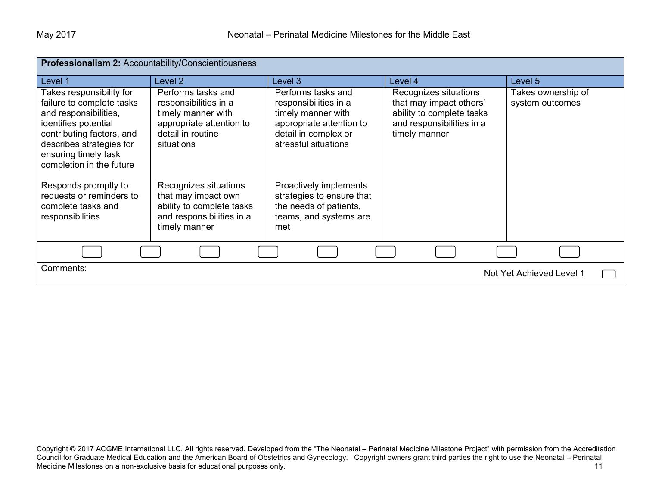| Professionalism 2: Accountability/Conscientiousness                                                                                                                                                                 |                                                                                                                                  |                                                                                                                                               |                                                                                                                             |                                       |
|---------------------------------------------------------------------------------------------------------------------------------------------------------------------------------------------------------------------|----------------------------------------------------------------------------------------------------------------------------------|-----------------------------------------------------------------------------------------------------------------------------------------------|-----------------------------------------------------------------------------------------------------------------------------|---------------------------------------|
| Level 1                                                                                                                                                                                                             | Level 2                                                                                                                          | Level 3                                                                                                                                       | Level 4                                                                                                                     | Level 5                               |
| Takes responsibility for<br>failure to complete tasks<br>and responsibilities,<br>identifies potential<br>contributing factors, and<br>describes strategies for<br>ensuring timely task<br>completion in the future | Performs tasks and<br>responsibilities in a<br>timely manner with<br>appropriate attention to<br>detail in routine<br>situations | Performs tasks and<br>responsibilities in a<br>timely manner with<br>appropriate attention to<br>detail in complex or<br>stressful situations | Recognizes situations<br>that may impact others'<br>ability to complete tasks<br>and responsibilities in a<br>timely manner | Takes ownership of<br>system outcomes |
| Responds promptly to<br>requests or reminders to<br>complete tasks and<br>responsibilities                                                                                                                          | Recognizes situations<br>that may impact own<br>ability to complete tasks<br>and responsibilities in a<br>timely manner          | Proactively implements<br>strategies to ensure that<br>the needs of patients,<br>teams, and systems are<br>met                                |                                                                                                                             |                                       |
|                                                                                                                                                                                                                     |                                                                                                                                  |                                                                                                                                               |                                                                                                                             |                                       |
| Comments:<br>Not Yet Achieved Level 1                                                                                                                                                                               |                                                                                                                                  |                                                                                                                                               |                                                                                                                             |                                       |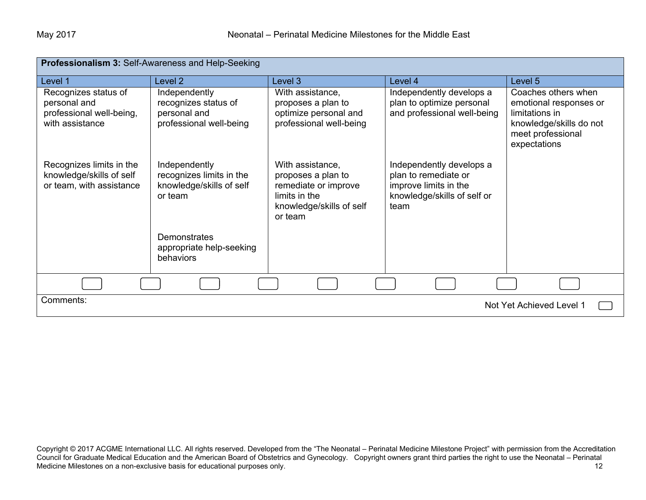| Professionalism 3: Self-Awareness and Help-Seeking                                  |                                                                                  |                                                                                                                        |                                                                                                                  |                                                                                                                                 |
|-------------------------------------------------------------------------------------|----------------------------------------------------------------------------------|------------------------------------------------------------------------------------------------------------------------|------------------------------------------------------------------------------------------------------------------|---------------------------------------------------------------------------------------------------------------------------------|
| Level 1                                                                             | Level 2                                                                          | Level 3                                                                                                                | Level 4                                                                                                          | Level 5                                                                                                                         |
| Recognizes status of<br>personal and<br>professional well-being,<br>with assistance | Independently<br>recognizes status of<br>personal and<br>professional well-being | With assistance,<br>proposes a plan to<br>optimize personal and<br>professional well-being                             | Independently develops a<br>plan to optimize personal<br>and professional well-being                             | Coaches others when<br>emotional responses or<br>limitations in<br>knowledge/skills do not<br>meet professional<br>expectations |
| Recognizes limits in the<br>knowledge/skills of self<br>or team, with assistance    | Independently<br>recognizes limits in the<br>knowledge/skills of self<br>or team | With assistance,<br>proposes a plan to<br>remediate or improve<br>limits in the<br>knowledge/skills of self<br>or team | Independently develops a<br>plan to remediate or<br>improve limits in the<br>knowledge/skills of self or<br>team |                                                                                                                                 |
|                                                                                     | <b>Demonstrates</b><br>appropriate help-seeking<br><b>behaviors</b>              |                                                                                                                        |                                                                                                                  |                                                                                                                                 |
|                                                                                     |                                                                                  |                                                                                                                        |                                                                                                                  |                                                                                                                                 |
| Comments:<br>Not Yet Achieved Level 1                                               |                                                                                  |                                                                                                                        |                                                                                                                  |                                                                                                                                 |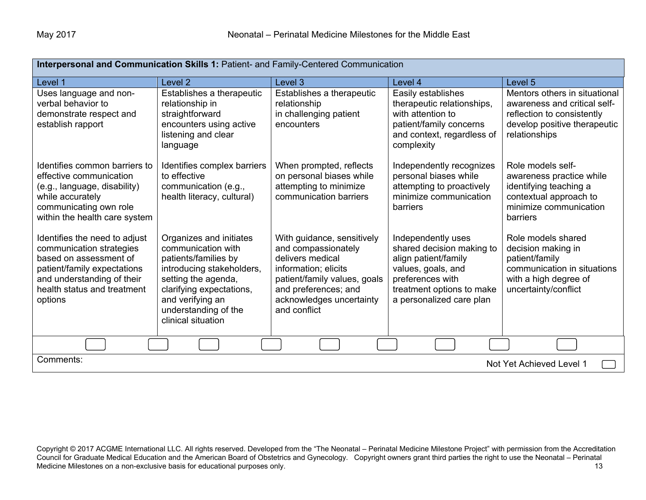| Interpersonal and Communication Skills 1: Patient- and Family-Centered Communication                                                                                                       |                                                                                                                                                                                                                         |                                                                                                                                                                                                   |                                                                                                                                                                            |                                                                                                                                              |
|--------------------------------------------------------------------------------------------------------------------------------------------------------------------------------------------|-------------------------------------------------------------------------------------------------------------------------------------------------------------------------------------------------------------------------|---------------------------------------------------------------------------------------------------------------------------------------------------------------------------------------------------|----------------------------------------------------------------------------------------------------------------------------------------------------------------------------|----------------------------------------------------------------------------------------------------------------------------------------------|
| Level 1                                                                                                                                                                                    | Level <sub>2</sub>                                                                                                                                                                                                      | Level 3                                                                                                                                                                                           | Level 4                                                                                                                                                                    | Level <sub>5</sub>                                                                                                                           |
| Uses language and non-<br>verbal behavior to<br>demonstrate respect and<br>establish rapport                                                                                               | Establishes a therapeutic<br>relationship in<br>straightforward<br>encounters using active<br>listening and clear<br>language                                                                                           | Establishes a therapeutic<br>relationship<br>in challenging patient<br>encounters                                                                                                                 | Easily establishes<br>therapeutic relationships,<br>with attention to<br>patient/family concerns<br>and context, regardless of<br>complexity                               | Mentors others in situational<br>awareness and critical self-<br>reflection to consistently<br>develop positive therapeutic<br>relationships |
| Identifies common barriers to<br>effective communication<br>(e.g., language, disability)<br>while accurately<br>communicating own role<br>within the health care system                    | Identifies complex barriers<br>to effective<br>communication (e.g.,<br>health literacy, cultural)                                                                                                                       | When prompted, reflects<br>on personal biases while<br>attempting to minimize<br>communication barriers                                                                                           | Independently recognizes<br>personal biases while<br>attempting to proactively<br>minimize communication<br>barriers                                                       | Role models self-<br>awareness practice while<br>identifying teaching a<br>contextual approach to<br>minimize communication<br>barriers      |
| Identifies the need to adjust<br>communication strategies<br>based on assessment of<br>patient/family expectations<br>and understanding of their<br>health status and treatment<br>options | Organizes and initiates<br>communication with<br>patients/families by<br>introducing stakeholders,<br>setting the agenda,<br>clarifying expectations,<br>and verifying an<br>understanding of the<br>clinical situation | With guidance, sensitively<br>and compassionately<br>delivers medical<br>information; elicits<br>patient/family values, goals<br>and preferences; and<br>acknowledges uncertainty<br>and conflict | Independently uses<br>shared decision making to<br>align patient/family<br>values, goals, and<br>preferences with<br>treatment options to make<br>a personalized care plan | Role models shared<br>decision making in<br>patient/family<br>communication in situations<br>with a high degree of<br>uncertainty/conflict   |
|                                                                                                                                                                                            |                                                                                                                                                                                                                         |                                                                                                                                                                                                   |                                                                                                                                                                            |                                                                                                                                              |
| Comments:<br>Not Yet Achieved Level 1                                                                                                                                                      |                                                                                                                                                                                                                         |                                                                                                                                                                                                   |                                                                                                                                                                            |                                                                                                                                              |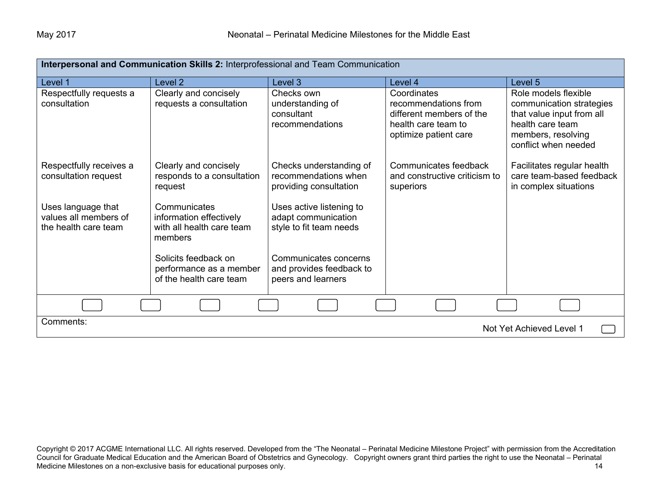| Interpersonal and Communication Skills 2: Interprofessional and Team Communication |                                                                                 |                                                                            |                                                                                                                 |                                                                                                                                                 |
|------------------------------------------------------------------------------------|---------------------------------------------------------------------------------|----------------------------------------------------------------------------|-----------------------------------------------------------------------------------------------------------------|-------------------------------------------------------------------------------------------------------------------------------------------------|
| Level 1                                                                            | Level <sub>2</sub>                                                              | Level 3                                                                    | Level 4                                                                                                         | Level 5                                                                                                                                         |
| Respectfully requests a<br>consultation                                            | Clearly and concisely<br>requests a consultation                                | Checks own<br>understanding of<br>consultant<br>recommendations            | Coordinates<br>recommendations from<br>different members of the<br>health care team to<br>optimize patient care | Role models flexible<br>communication strategies<br>that value input from all<br>health care team<br>members, resolving<br>conflict when needed |
| Respectfully receives a<br>consultation request                                    | Clearly and concisely<br>responds to a consultation<br>request                  | Checks understanding of<br>recommendations when<br>providing consultation  | Communicates feedback<br>and constructive criticism to<br>superiors                                             | Facilitates regular health<br>care team-based feedback<br>in complex situations                                                                 |
| Uses language that<br>values all members of<br>the health care team                | Communicates<br>information effectively<br>with all health care team<br>members | Uses active listening to<br>adapt communication<br>style to fit team needs |                                                                                                                 |                                                                                                                                                 |
|                                                                                    | Solicits feedback on<br>performance as a member<br>of the health care team      | Communicates concerns<br>and provides feedback to<br>peers and learners    |                                                                                                                 |                                                                                                                                                 |
|                                                                                    |                                                                                 |                                                                            |                                                                                                                 |                                                                                                                                                 |
| Comments:<br>Not Yet Achieved Level 1                                              |                                                                                 |                                                                            |                                                                                                                 |                                                                                                                                                 |